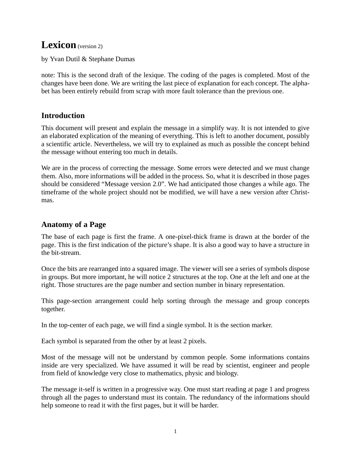# Lexicon (version 2)

by Yvan Dutil & Stephane Dumas

note: This is the second draft of the lexique. The coding of the pages is completed. Most of the changes have been done. We are writing the last piece of explanation for each concept. The alphabet has been entirely rebuild from scrap with more fault tolerance than the previous one.

# **Introduction**

This document will present and explain the message in a simplify way. It is not intended to give an elaborated explication of the meaning of everything. This is left to another document, possibly a scientific article. Nevertheless, we will try to explained as much as possible the concept behind the message without entering too much in details.

We are in the process of correcting the message. Some errors were detected and we must change them. Also, more informations will be added in the process. So, what it is described in those pages should be considered "Message version 2.0". We had anticipated those changes a while ago. The timeframe of the whole project should not be modified, we will have a new version after Christmas.

# **Anatomy of a Page**

The base of each page is first the frame. A one-pixel-thick frame is drawn at the border of the page. This is the first indication of the picture's shape. It is also a good way to have a structure in the bit-stream.

Once the bits are rearranged into a squared image. The viewer will see a series of symbols dispose in groups. But more important, he will notice 2 structures at the top. One at the left and one at the right. Those structures are the page number and section number in binary representation.

This page-section arrangement could help sorting through the message and group concepts together.

In the top-center of each page, we will find a single symbol. It is the section marker.

Each symbol is separated from the other by at least 2 pixels.

Most of the message will not be understand by common people. Some informations contains inside are very specialized. We have assumed it will be read by scientist, engineer and people from field of knowledge very close to mathematics, physic and biology.

The message it-self is written in a progressive way. One must start reading at page 1 and progress through all the pages to understand must its contain. The redundancy of the informations should help someone to read it with the first pages, but it will be harder.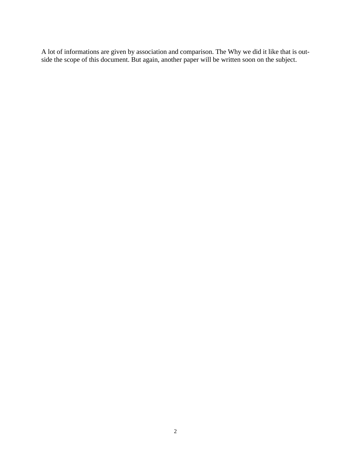A lot of informations are given by association and comparison. The Why we did it like that is outside the scope of this document. But again, another paper will be written soon on the subject.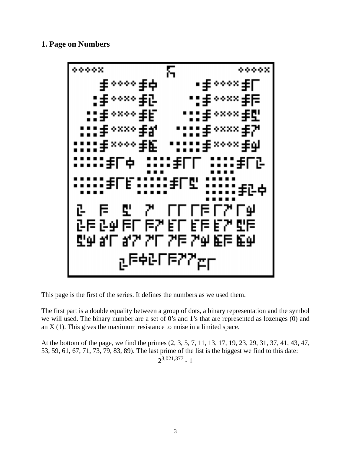#### **1. Page on Numbers**



This page is the first of the series. It defines the numbers as we used them.

The first part is a double equality between a group of dots, a binary representation and the symbol we will used. The binary number are a set of 0's and 1's that are represented as lozenges (0) and an X (1). This gives the maximum resistance to noise in a limited space.

At the bottom of the page, we find the primes (2, 3, 5, 7, 11, 13, 17, 19, 23, 29, 31, 37, 41, 43, 47, 53, 59, 61, 67, 71, 73, 79, 83, 89). The last prime of the list is the biggest we find to this date:  $2^{3,021,377}$  - 1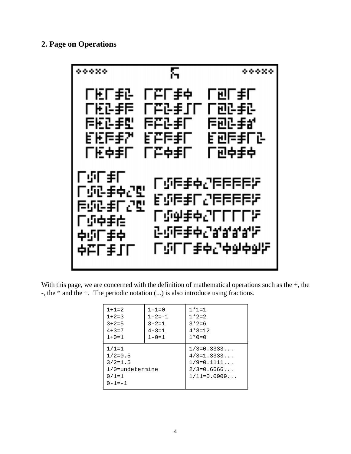## 2. Page on Operations



With this page, we are concerned with the definition of mathematical operations such as the  $+$ , the -, the  $*$  and the  $\div$ . The periodic notation (...) is also introduce using fractions.

| $1 + 1 = 2$                                                                          | $1 - 1 = 0$  | $1 * 1 = 1$                                                                     |
|--------------------------------------------------------------------------------------|--------------|---------------------------------------------------------------------------------|
| $1 + 2 = 3$                                                                          | $1 - 2 = -1$ | $1 * 2 = 2$                                                                     |
| $3 + 2 = 5$                                                                          | $3 - 2 = 1$  | $3*2=6$                                                                         |
| $4 + 3 = 7$                                                                          | $4 - 3 = 1$  | $4*3=12$                                                                        |
| $1 + 0 = 1$                                                                          | $1 - 0 = 1$  | $1 * 0 = 0$                                                                     |
| $1/1=1$<br>$1/2=0.5$<br>$3/2 = 1.5$<br>$1/0$ =undetermine<br>$0/1=1$<br>$0 - 1 = -1$ |              | $1/3 = 0.3333$<br>$4/3=1.3333$<br>$1/9=0.1111$<br>$2/3=0.6666$<br>$1/11=0.0909$ |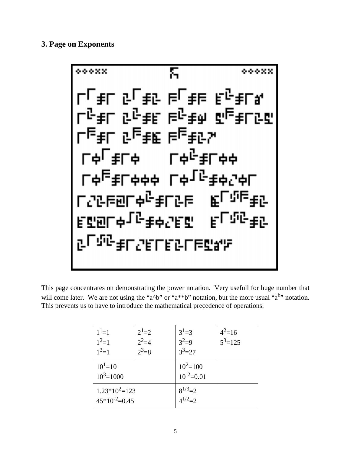#### **3. Page on Exponents**



This page concentrates on demonstrating the power notation. Very usefull for huge number that will come later. We are not using the "a^b" or "a\*\*b" notation, but the more usual "a<sup>b</sup>" notation. This prevents us to have to introduce the mathematical precedence of operations.

| $1^1=1$<br>$1^2=1$<br>$1^3=1$          | $2^{1}=2$<br>$2^2 = 4$<br>$2^3 = 8$ | $3^{1} = 3$<br>$3^2=9$<br>$3^3 = 27$ | $4^2$ =16<br>$5^3$ =125 |
|----------------------------------------|-------------------------------------|--------------------------------------|-------------------------|
| $10^{1}$ =10<br>$10^3$ = 1000          |                                     | $10^2$ =100<br>$10^{-2} = 0.01$      |                         |
| $1.23*10^2=123$<br>$45*10^{-2} = 0.45$ |                                     | $8^{1/3} = 2$<br>$4^{1/2} - 2$       |                         |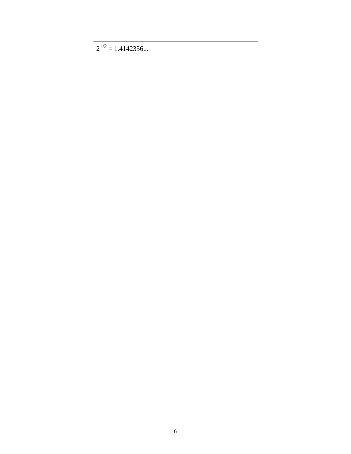$2^{1/2}$  = 1.4142356...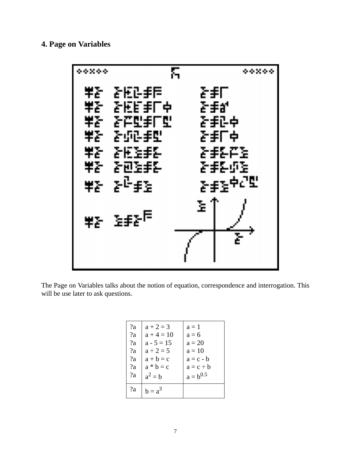## **4. Page on Variables**



The Page on Variables talks about the notion of equation, correspondence and interrogation. This will be use later to ask questions.

| 2a | $a + 2 = 3$    | $a=1$          |
|----|----------------|----------------|
| 2a | $a + 4 = 10$   | $a = 6$        |
| 2a | $a - 5 = 15$   | $a = 20$       |
| 2a | $a \div 2 = 5$ | $a=10$         |
| 2a | $a + b = c$    | $a = c - b$    |
| 2a | $a * b = c$    | $a = c \div b$ |
| 2a | $a^2 = b$      | $a = b^{0.5}$  |
| 2a | $b = a^3$      |                |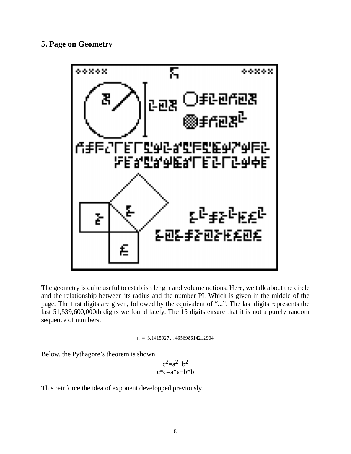#### **5. Page on Geometry**



The geometry is quite useful to establish length and volume notions. Here, we talk about the circle and the relationship between its radius and the number PI. Which is given in the middle of the page. The first digits are given, followed by the equivalent of "...". The last digits represents the last 51,539,600,000th digits we found lately. The 15 digits ensure that it is not a purely random sequence of numbers.

$$
\pi\,=\,3.1415927\ldots465698614212904
$$

Below, the Pythagore's theorem is shown.

$$
\substack{c^2=a^2+b^2\\c^*c=a^*a+b^*b}
$$

This reinforce the idea of exponent developped previously.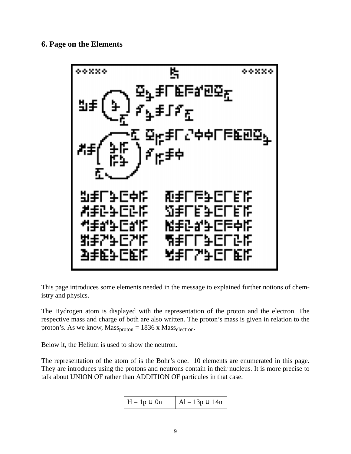## **6. Page on the Elements**



This page introduces some elements needed in the message to explained further notions of chemistry and physics.

The Hydrogen atom is displayed with the representation of the proton and the electron. The respective mass and charge of both are also written. The proton's mass is given in relation to the proton's. As we know,  $Mass<sub>proton</sub> = 1836 x Mass<sub>electron</sub>$ .

Below it, the Helium is used to show the neutron.

The representation of the atom of is the Bohr's one. 10 elements are enumerated in this page. They are introduces using the protons and neutrons contain in their nucleus. It is more precise to talk about UNION OF rather than ADDITION OF particules in that case.

$$
H = 1p \cup 0n \qquad | Al = 13p \cup 14n |
$$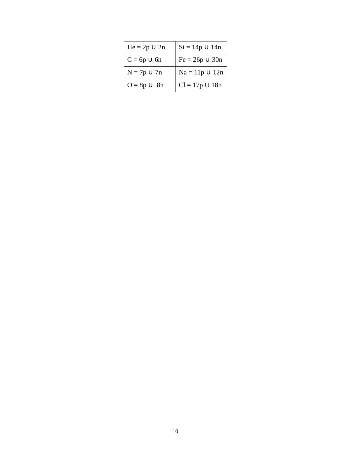| $He = 2p \cup 2n$ | $Si = 14p \cup 14n$ |
|-------------------|---------------------|
| $C = 6p \cup 6n$  | $Fe = 26p \cup 30n$ |
| $N = 7p \cup 7n$  | $Na = 11p \cup 12n$ |
| $O=8p\smile~8n$   | $Cl = 17p U 18n$    |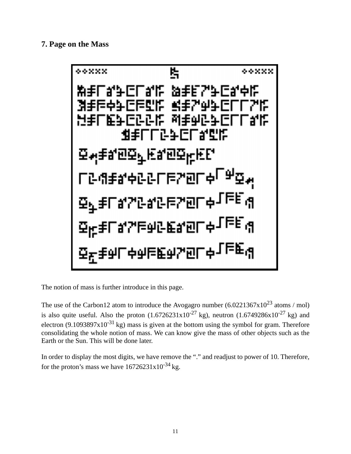### **7. Page on the Mass**



The notion of mass is further introduce in this page.

The use of the Carbon12 atom to introduce the Avogagro number  $(6.0221367 \times 10^{23} \text{ atoms} / \text{mol})$ is also quite useful. Also the proton  $(1.6726231x10^{-27}$  kg), neutron  $(1.6749286x10^{-27}$  kg) and electron (9.1093897x10<sup>-31</sup> kg) mass is given at the bottom using the symbol for gram. Therefore consolidating the whole notion of mass. We can know give the mass of other objects such as the Earth or the Sun. This will be done later.

In order to display the most digits, we have remove the "." and readjust to power of 10. Therefore, for the proton's mass we have  $16726231x10^{-34}$  kg.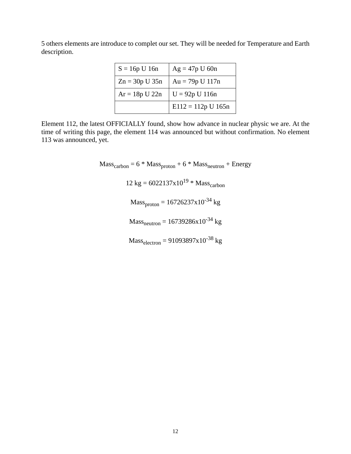5 others elements are introduce to complet our set. They will be needed for Temperature and Earth description.

| $S = 16p$ U 16n    | $Ag = 47p$ U 60n     |
|--------------------|----------------------|
| $Zn = 30p$ U $35n$ | $Au = 79p U 117n$    |
| $Ar = 18p U 22n$   | $U = 92p U 116n$     |
|                    | $E112 = 112p U 165n$ |

Element 112, the latest OFFICIALLY found, show how advance in nuclear physic we are. At the time of writing this page, the element 114 was announced but without confirmation. No element 113 was announced, yet.

> $Mass<sub>carbon</sub> = 6 * Mass<sub>proton</sub> + 6 * Mass<sub>neutron</sub> + Energy$  $12 \text{ kg} = 6022137 \times 10^{19} \text{ * Mass}_{\text{carbon}}$  $Mass_{proton} = 16726237x10^{-34}$  kg  $Mass<sub>neutron</sub> = 16739286x10<sup>-34</sup> kg$  $Mass_{electron} = 91093897x10^{-38}$  kg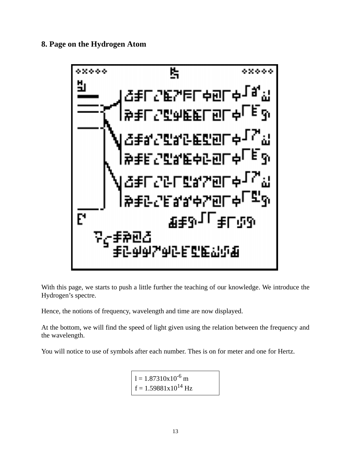**8. Page on the Hydrogen Atom**



With this page, we starts to push a little further the teaching of our knowledge. We introduce the Hydrogen's spectre.

Hence, the notions of frequency, wavelength and time are now displayed.

At the bottom, we will find the speed of light given using the relation between the frequency and the wavelength.

You will notice to use of symbols after each number. Thes is on for meter and one for Hertz.

 $l = 1.87310x10^{-6}$  m  $f = 1.59881x10^{14}$  Hz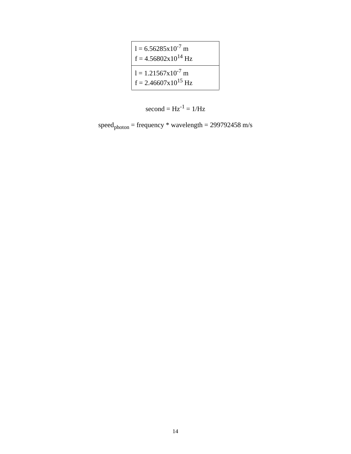$$
1 = 6.56285 \times 10^{-7} \text{ m}
$$
  
\n
$$
f = 4.56802 \times 10^{14} \text{ Hz}
$$
  
\n
$$
1 = 1.21567 \times 10^{-7} \text{ m}
$$
  
\n
$$
f = 2.46607 \times 10^{15} \text{ Hz}
$$

$$
second = Hz^{-1} = 1/Hz
$$

 $speed<sub>photon</sub> = frequency * wavelength = 299792458 m/s$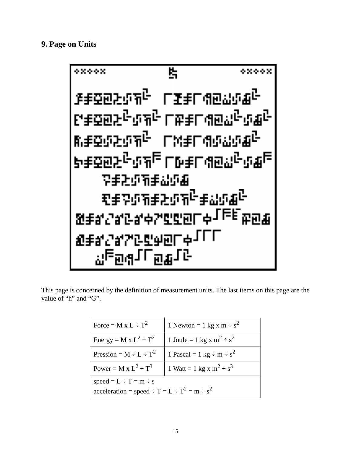#### **9. Page on Units**



This page is concerned by the definition of measurement units. The last items on this page are the value of "h" and "G".

| Force = M x L $\div$ T <sup>2</sup>                                                      | 1 Newton = 1 kg x m $\div$ s <sup>2</sup>        |  |
|------------------------------------------------------------------------------------------|--------------------------------------------------|--|
| Energy = M x $L^2 \div T^2$                                                              | 1 Joule = 1 kg x m <sup>2</sup> ÷ s <sup>2</sup> |  |
| Pression = $M \div L \div T^2$                                                           | 1 Pascal = 1 kg $\div$ m $\div$ s <sup>2</sup>   |  |
| Power = M x $L^2 \div T^3$<br>1 Watt = 1 kg x m <sup>2</sup> ÷ s <sup>3</sup>            |                                                  |  |
| $speed = L \div T = m \div s$<br>$acceleration = speed \div T = L \div T^2 = m \div s^2$ |                                                  |  |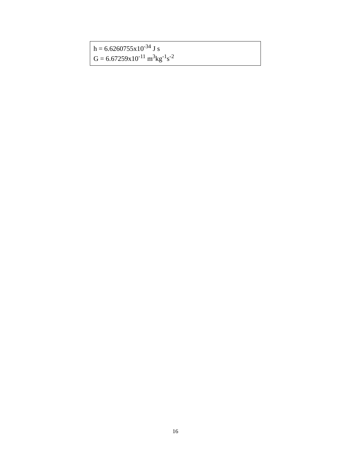h = 6.6260755x10<sup>-34</sup> J s<br>G = 6.67259x10<sup>-11</sup> m<sup>3</sup>kg<sup>-1</sup>s<sup>-2</sup>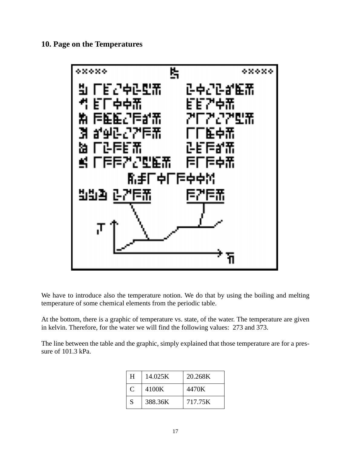**10. Page on the Temperatures**



We have to introduce also the temperature notion. We do that by using the boiling and melting temperature of some chemical elements from the periodic table.

At the bottom, there is a graphic of temperature vs. state, of the water. The temperature are given in kelvin. Therefore, for the water we will find the following values: 273 and 373.

The line between the table and the graphic, simply explained that those temperature are for a pressure of 101.3 kPa.

| H             | 14.025K | 20.268K |
|---------------|---------|---------|
| $\mathcal{C}$ | 4100K   | 4470K   |
| S             | 388.36K | 717.75K |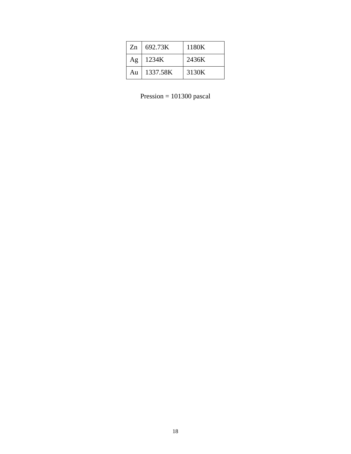| Zn | 692.73K  | 1180K |
|----|----------|-------|
| Ag | 1234K    | 2436K |
| Au | 1337.58K | 3130K |

Pression = pascal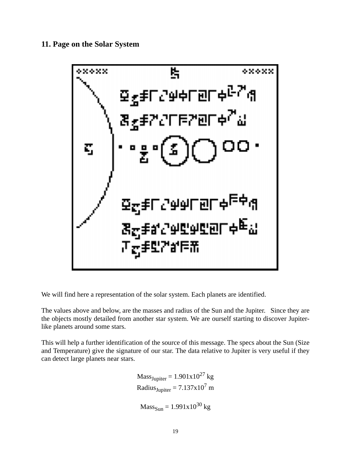**11. Page on the Solar System**



We will find here a representation of the solar system. Each planets are identified.

The values above and below, are the masses and radius of the Sun and the Jupiter. Since they are the objects mostly detailed from another star system. We are ourself starting to discover Jupiterlike planets around some stars.

This will help a further identification of the source of this message. The specs about the Sun (Size and Temperature) give the signature of our star. The data relative to Jupiter is very useful if they can detect large planets near stars.

> $Mass<sub>Jupiter</sub> = 1.901x10<sup>27</sup> kg$ Radius<sub>Jupiter</sub> =  $7.137x10<sup>7</sup>$  m  $Mass_{Sun} = 1.991x10^{30}$  kg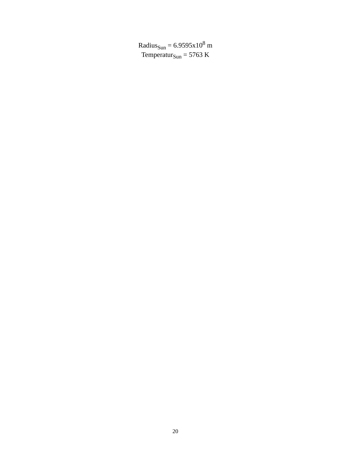Radius $_{\text{Sun}}$  = 6.9595x10<sup>8</sup> m Temperatur $_{Sun}$  = 5763 K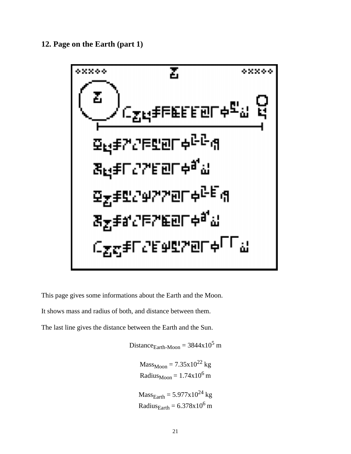**12. Page on the Earth (part 1)**



This page gives some informations about the Earth and the Moon.

It shows mass and radius of both, and distance between them.

The last line gives the distance between the Earth and the Sun.

Distance $E_{\text{Earth-Moon}} = 3844 \times 10^5$  m  $Mass_{Moon} = 7.35 \times 10^{22}$  kg Radius $_{\text{Moon}} = 1.74 \times 10^6$  m

 $Mass<sub>Earth</sub> = 5.977x10<sup>24</sup> kg$ Radius $_{\text{Earth}} = 6.378 \times 10^6$  m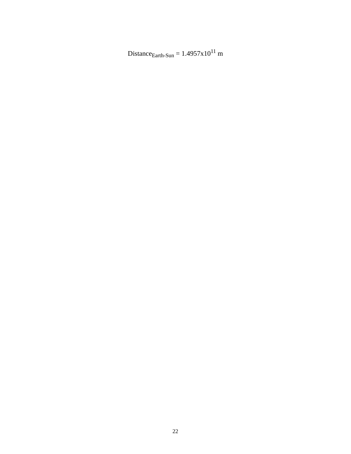Distance<sub>Earth-Sun</sub> =  $1.4957x10^{11}$  m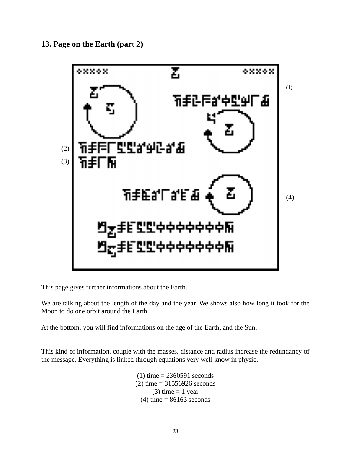**13. Page on the Earth (part 2)**



This page gives further informations about the Earth.

We are talking about the length of the day and the year. We shows also how long it took for the Moon to do one orbit around the Earth.

At the bottom, you will find informations on the age of the Earth, and the Sun.

This kind of information, couple with the masses, distance and radius increase the redundancy of the message. Everything is linked through equations very well know in physic.

> $(1)$  time = 2360591 seconds  $(2)$  time = 31556926 seconds (3) time  $= 1$  year  $(4)$  time = 86163 seconds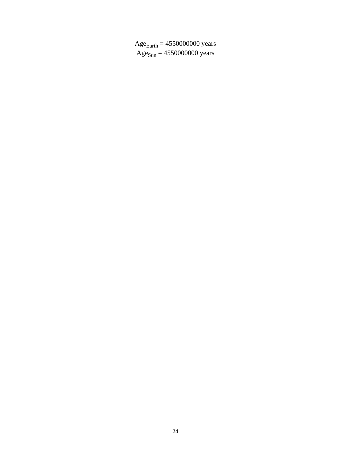$Age_{Earth} = 4550000000$  years  $Age<sub>Sun</sub> = 4550000000 years$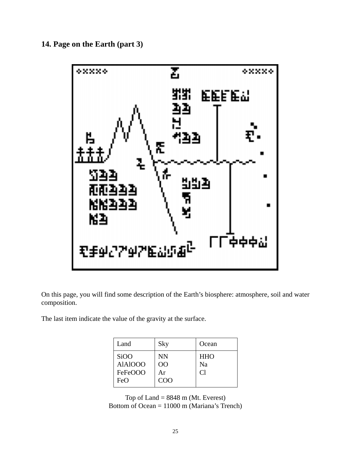**14. Page on the Earth (part 3)**



On this page, you will find some description of the Earth's biosphere: atmosphere, soil and water composition.

The last item indicate the value of the gravity at the surface.

| Land              | Sky            | Ocean      |
|-------------------|----------------|------------|
| Si <sub>O</sub> O | NN             | <b>HHO</b> |
| <b>AlAlOOO</b>    | O <sub>O</sub> | Na         |
| FeFeOOO           | Ar             | Cl         |
| FeO               | COO            |            |

Top of Land  $= 8848$  m (Mt. Everest) Bottom of Ocean = 11000 m (Mariana's Trench)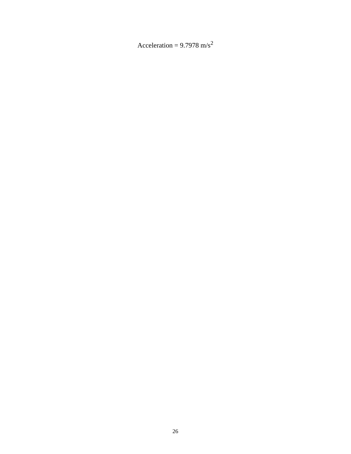Acceleration =  $9.7978 \text{ m/s}^2$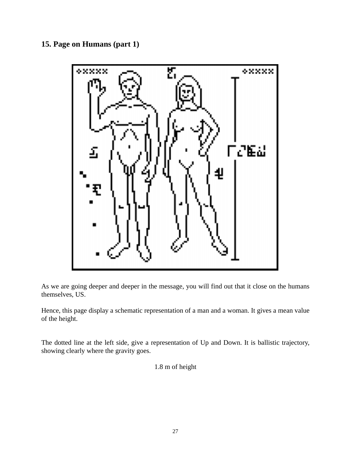# **15. Page on Humans (part 1)**



As we are going deeper and deeper in the message, you will find out that it close on the humans themselves, US.

Hence, this page display a schematic representation of a man and a woman. It gives a mean value of the height.

The dotted line at the left side, give a representation of Up and Down. It is ballistic trajectory, showing clearly where the gravity goes.

1.8 m of height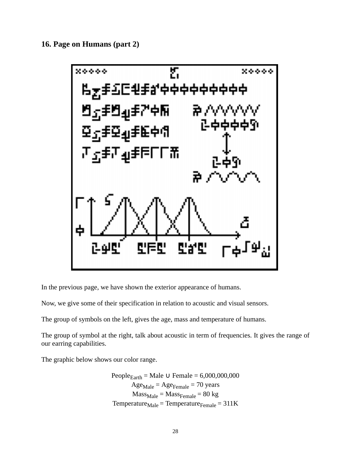**16. Page on Humans (part 2)**



In the previous page, we have shown the exterior appearance of humans.

Now, we give some of their specification in relation to acoustic and visual sensors.

The group of symbols on the left, gives the age, mass and temperature of humans.

The group of symbol at the right, talk about acoustic in term of frequencies. It gives the range of our earring capabilities.

The graphic below shows our color range.

People<sub>Earth</sub> = Male 
$$
\cup
$$
 Female = 6,000,000,000

\nAge<sub>Male</sub> = Age<sub>Female</sub> = 70 years

\nMass<sub>Male</sub> = Mass<sub>Female</sub> = 80 kg

\nTemperature<sub>Male</sub> = Temperature<sub>Female</sub> = 311 K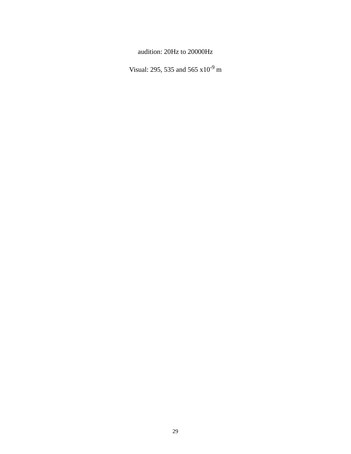audition: 20Hz to 20000Hz

Visual: 295, 535 and 565 x10-9 m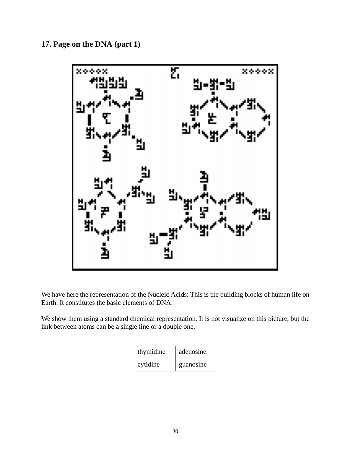**17. Page on the DNA (part 1)**



We have here the representation of the Nucleic Acids: This is the building blocks of human life on Earth. It constitutes the basic elements of DNA.

We show them using a standard chemical representation. It is not visualize on this picture, but the link between atoms can be a single line or a double one.

| thymidine | adenosine |
|-----------|-----------|
| cytidine  | guanosine |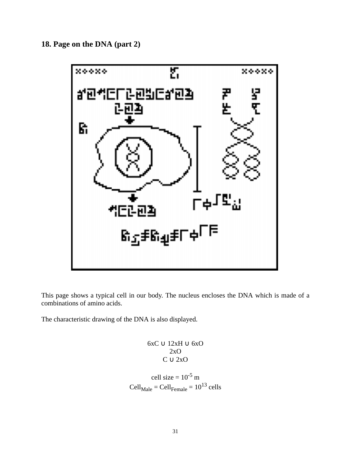**18. Page on the DNA (part 2)**



This page shows a typical cell in our body. The nucleus encloses the DNA which is made of a combinations of amino acids.

The characteristic drawing of the DNA is also displayed.

6xC ∪ 12xH ∪ 6xO 2xO  $C \cup 2xO$ 

cell size =  $10^{-5}$  m  $Cell_{Male} = Cell_{Female} = 10^{13}$  cells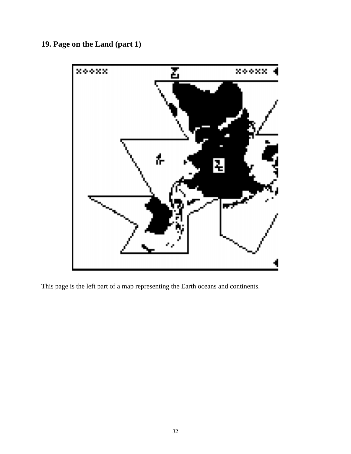**19. Page on the Land (part 1)**



This page is the left part of a map representing the Earth oceans and continents.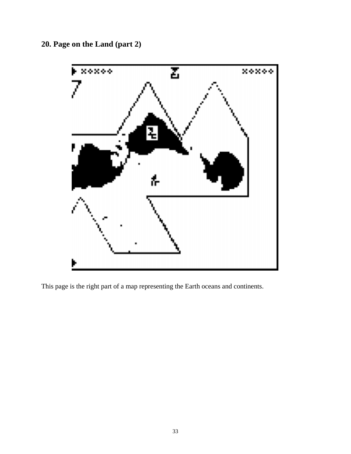**20. Page on the Land (part 2)**



This page is the right part of a map representing the Earth oceans and continents.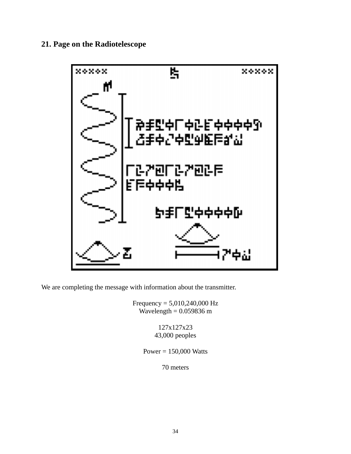# **21. Page on the Radiotelescope**



We are completing the message with information about the transmitter.

Frequency = 5,010,240,000 Hz Wavelength =  $0.059836$  m

> 127x127x23 43,000 peoples

Power = 150,000 Watts

70 meters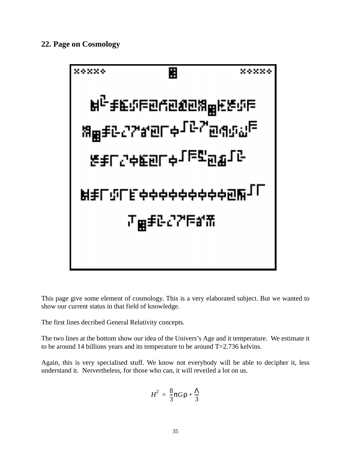

This page give some element of cosmology. This is a very elaborated subject. But we wanted to show our current status in that field of knowledge.

The first lines decribed General Relativity concepts.

The two lines at the bottom show our idea of the Univers's Age and it temperature. We estimate it to be around 14 billions years and its temperature to be around  $T=2.736$  kelvins.

Again, this is very specialised stuff. We know not everybody will be able to decipher it, less understand it. Nervertheless, for those who can, it will reveiled a lot on us.

$$
H^2 = \frac{8}{3}\pi G\rho + \frac{\Lambda}{3}
$$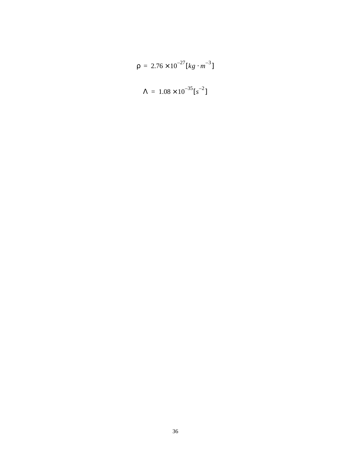$$
\rho = 2.76 \times 10^{-27} [kg \cdot m^{-3}]
$$

$$
\Lambda = 1.08 \times 10^{-35} [s^{-2}]
$$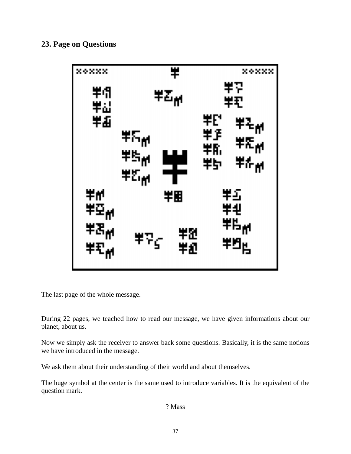## **23. Page on Questions**



The last page of the whole message.

During 22 pages, we teached how to read our message, we have given informations about our planet, about us.

Now we simply ask the receiver to answer back some questions. Basically, it is the same notions we have introduced in the message.

We ask them about their understanding of their world and about themselves.

The huge symbol at the center is the same used to introduce variables. It is the equivalent of the question mark.

? Mass